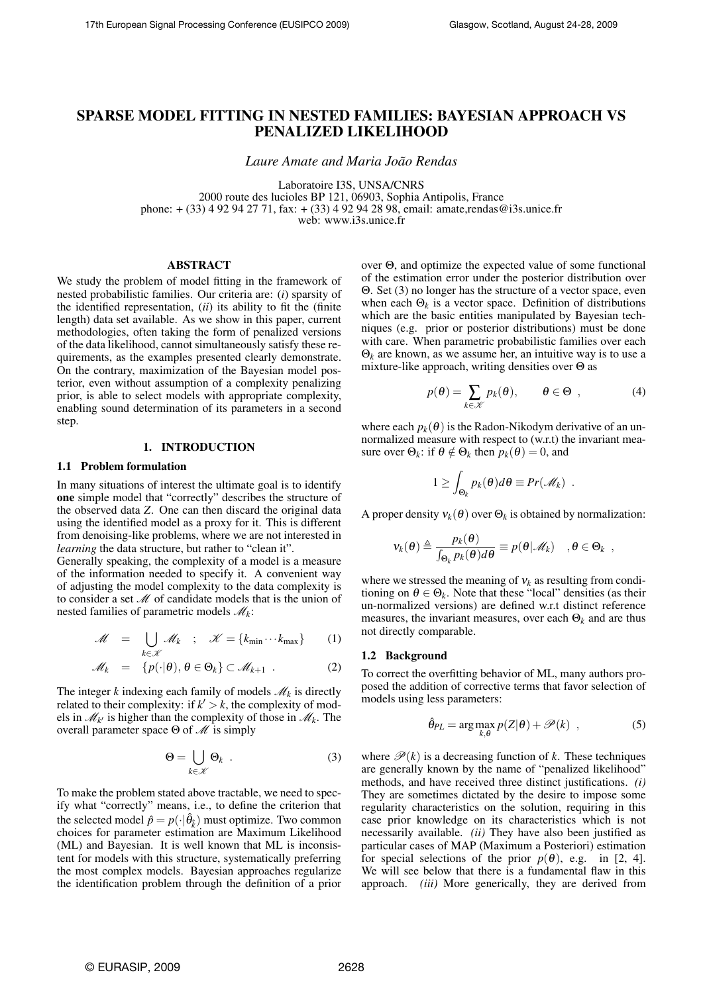# SPARSE MODEL FITTING IN NESTED FAMILIES: BAYESIAN APPROACH VS PENALIZED LIKELIHOOD

*Laure Amate and Maria João Rendas*

Laboratoire I3S, UNSA/CNRS 2000 route des lucioles BP 121, 06903, Sophia Antipolis, France phone: + (33) 4 92 94 27 71, fax: + (33) 4 92 94 28 98, email: amate,rendas@i3s.unice.fr web: www.i3s.unice.fr

## ABSTRACT

We study the problem of model fitting in the framework of nested probabilistic families. Our criteria are: (*i*) sparsity of the identified representation, (*ii*) its ability to fit the (finite length) data set available. As we show in this paper, current methodologies, often taking the form of penalized versions of the data likelihood, cannot simultaneously satisfy these requirements, as the examples presented clearly demonstrate. On the contrary, maximization of the Bayesian model posterior, even without assumption of a complexity penalizing prior, is able to select models with appropriate complexity, enabling sound determination of its parameters in a second step.

## 1. INTRODUCTION

#### 1.1 Problem formulation

In many situations of interest the ultimate goal is to identify one simple model that "correctly" describes the structure of the observed data *Z*. One can then discard the original data using the identified model as a proxy for it. This is different from denoising-like problems, where we are not interested in *learning* the data structure, but rather to "clean it".

Generally speaking, the complexity of a model is a measure of the information needed to specify it. A convenient way of adjusting the model complexity to the data complexity is to consider a set *M* of candidate models that is the union of nested families of parametric models *M<sup>k</sup>* :

$$
\mathscr{M} = \bigcup_{k \in \mathscr{K}} \mathscr{M}_k \; ; \; \mathscr{K} = \{k_{\min} \cdots k_{\max}\} \qquad (1)
$$

$$
\mathscr{M}_k = \{p(\cdot|\theta), \theta \in \Theta_k\} \subset \mathscr{M}_{k+1} .
$$
 (2)

The integer  $k$  indexing each family of models  $\mathcal{M}_k$  is directly related to their complexity: if  $k' > k$ , the complexity of models in  $\mathcal{M}_{k'}$  is higher than the complexity of those in  $\mathcal{M}_k$ . The overall parameter space Θ of *M* is simply

$$
\Theta = \bigcup_{k \in \mathcal{K}} \Theta_k \tag{3}
$$

To make the problem stated above tractable, we need to specify what "correctly" means, i.e., to define the criterion that the selected model  $\hat{p} = p(\cdot|\hat{\theta}_k)$  must optimize. Two common choices for parameter estimation are Maximum Likelihood (ML) and Bayesian. It is well known that ML is inconsistent for models with this structure, systematically preferring the most complex models. Bayesian approaches regularize the identification problem through the definition of a prior over Θ, and optimize the expected value of some functional of the estimation error under the posterior distribution over Θ. Set (3) no longer has the structure of a vector space, even when each  $\Theta_k$  is a vector space. Definition of distributions which are the basic entities manipulated by Bayesian techniques (e.g. prior or posterior distributions) must be done with care. When parametric probabilistic families over each  $\Theta_k$  are known, as we assume her, an intuitive way is to use a mixture-like approach, writing densities over  $\Theta$  as

$$
p(\theta) = \sum_{k \in \mathcal{K}} p_k(\theta), \qquad \theta \in \Theta \quad , \tag{4}
$$

where each  $p_k(\theta)$  is the Radon-Nikodym derivative of an unnormalized measure with respect to (w.r.t) the invariant measure over  $\Theta_k$ : if  $\theta \notin \Theta_k$  then  $p_k(\theta) = 0$ , and

$$
1 \geq \int_{\Theta_k} p_k(\theta) d\theta \equiv Pr(\mathscr{M}_k) .
$$

A proper density  $v_k(\theta)$  over  $\Theta_k$  is obtained by normalization:

$$
\mathbf{v}_k(\boldsymbol{\theta}) \triangleq \frac{p_k(\boldsymbol{\theta})}{\int_{\Theta_k} p_k(\boldsymbol{\theta}) d\boldsymbol{\theta}} \equiv p(\boldsymbol{\theta} | \mathscr{M}_k) \quad , \boldsymbol{\theta} \in \Theta_k ,
$$

where we stressed the meaning of  $v_k$  as resulting from conditioning on  $\theta \in \Theta_k$ . Note that these "local" densities (as their un-normalized versions) are defined w.r.t distinct reference measures, the invariant measures, over each  $\Theta_k$  and are thus not directly comparable.

## 1.2 Background

To correct the overfitting behavior of ML, many authors proposed the addition of corrective terms that favor selection of models using less parameters:

$$
\hat{\theta}_{PL} = \arg \max_{k,\theta} p(Z|\theta) + \mathcal{P}(k) \quad , \tag{5}
$$

where  $\mathcal{P}(k)$  is a decreasing function of *k*. These techniques are generally known by the name of "penalized likelihood" methods, and have received three distinct justifications. *(i)* They are sometimes dictated by the desire to impose some regularity characteristics on the solution, requiring in this case prior knowledge on its characteristics which is not necessarily available. *(ii)* They have also been justified as particular cases of MAP (Maximum a Posteriori) estimation for special selections of the prior  $p(\theta)$ , e.g. in [2, 4]. We will see below that there is a fundamental flaw in this approach. *(iii)* More generically, they are derived from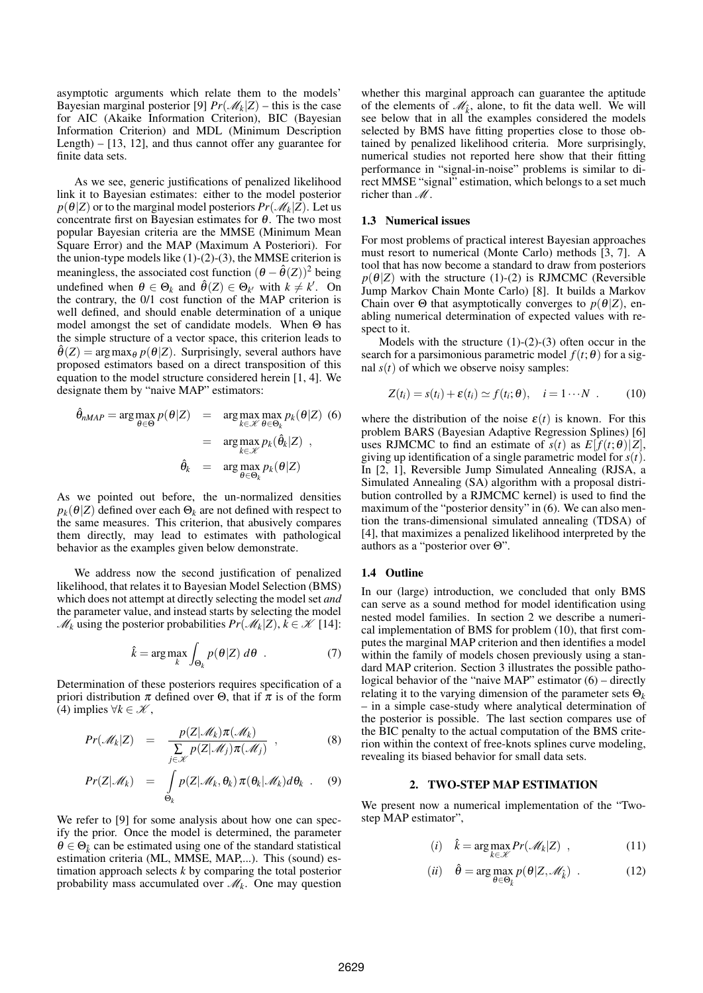asymptotic arguments which relate them to the models' Bayesian marginal posterior [9]  $Pr(M_k|Z)$  – this is the case for AIC (Akaike Information Criterion), BIC (Bayesian Information Criterion) and MDL (Minimum Description Length) – [13, 12], and thus cannot offer any guarantee for finite data sets.

As we see, generic justifications of penalized likelihood link it to Bayesian estimates: either to the model posterior  $p(\theta|Z)$  or to the marginal model posteriors  $Pr(\mathscr{M}_k|Z)$ . Let us concentrate first on Bayesian estimates for  $\theta$ . The two most popular Bayesian criteria are the MMSE (Minimum Mean Square Error) and the MAP (Maximum A Posteriori). For the union-type models like  $(1)-(2)-(3)$ , the MMSE criterion is meaningless, the associated cost function  $(\theta - \hat{\theta}(Z))^2$  being undefined when  $\theta \in \Theta_k$  and  $\hat{\theta}(Z) \in \Theta_{k'}$  with  $k \neq k'$ . On the contrary, the 0/1 cost function of the MAP criterion is well defined, and should enable determination of a unique model amongst the set of candidate models. When Θ has the simple structure of a vector space, this criterion leads to  $\hat{\theta}(Z) = \arg \max_{\theta} p(\theta|Z)$ . Surprisingly, several authors have proposed estimators based on a direct transposition of this equation to the model structure considered herein [1, 4]. We designate them by "naive MAP" estimators:

$$
\hat{\theta}_{nMAP} = \arg \max_{\theta \in \Theta} p(\theta | Z) = \arg \max_{k \in \mathcal{K}} \max_{\theta \in \Theta_k} p_k(\theta | Z)
$$
(6)  

$$
= \arg \max_{k \in \mathcal{K}} p_k(\hat{\theta}_k | Z) ,
$$

$$
\hat{\theta}_k = \arg \max_{\theta \in \Theta_k} p_k(\theta | Z)
$$

As we pointed out before, the un-normalized densities  $p_k(\theta|Z)$  defined over each  $\Theta_k$  are not defined with respect to the same measures. This criterion, that abusively compares them directly, may lead to estimates with pathological behavior as the examples given below demonstrate.

We address now the second justification of penalized likelihood, that relates it to Bayesian Model Selection (BMS) which does not attempt at directly selecting the model set *and* the parameter value, and instead starts by selecting the model  $\mathcal{M}_k$  using the posterior probabilities  $Pr(\mathcal{M}_k|Z), k \in \mathcal{K}$  [14]:

$$
\hat{k} = \arg \max_{k} \int_{\Theta_k} p(\theta | Z) \, d\theta \quad . \tag{7}
$$

Determination of these posteriors requires specification of a priori distribution  $\pi$  defined over  $\Theta$ , that if  $\pi$  is of the form (4) implies  $\forall k \in \mathcal{K}$ ,

$$
Pr(\mathscr{M}_k|Z) = \frac{p(Z|\mathscr{M}_k)\pi(\mathscr{M}_k)}{\sum_{j\in\mathscr{K}}p(Z|\mathscr{M}_j)\pi(\mathscr{M}_j)},
$$
 (8)

$$
Pr(Z|\mathscr{M}_k) = \int_{\Theta_k} p(Z|\mathscr{M}_k, \theta_k) \pi(\theta_k|\mathscr{M}_k) d\theta_k . \quad (9)
$$

We refer to [9] for some analysis about how one can specify the prior. Once the model is determined, the parameter  $\theta \in \Theta_{\hat{k}}$  can be estimated using one of the standard statistical estimation criteria (ML, MMSE, MAP,...). This (sound) estimation approach selects *k* by comparing the total posterior probability mass accumulated over *M<sup>k</sup>* . One may question

whether this marginal approach can guarantee the aptitude of the elements of  $\mathcal{M}_{\hat{k}}$ , alone, to fit the data well. We will see below that in all the examples considered the models selected by BMS have fitting properties close to those obtained by penalized likelihood criteria. More surprisingly, numerical studies not reported here show that their fitting performance in "signal-in-noise" problems is similar to direct MMSE "signal" estimation, which belongs to a set much richer than *M*.

#### 1.3 Numerical issues

For most problems of practical interest Bayesian approaches must resort to numerical (Monte Carlo) methods [3, 7]. A tool that has now become a standard to draw from posteriors  $p(\theta|Z)$  with the structure (1)-(2) is RJMCMC (Reversible Jump Markov Chain Monte Carlo) [8]. It builds a Markov Chain over  $\Theta$  that asymptotically converges to  $p(\theta|Z)$ , enabling numerical determination of expected values with respect to it.

Models with the structure  $(1)-(2)-(3)$  often occur in the search for a parsimonious parametric model  $f(t; \theta)$  for a signal  $s(t)$  of which we observe noisy samples:

$$
Z(t_i) = s(t_i) + \varepsilon(t_i) \simeq f(t_i; \theta), \quad i = 1 \cdots N \tag{10}
$$

where the distribution of the noise  $\varepsilon(t)$  is known. For this problem BARS (Bayesian Adaptive Regression Splines) [6] uses RJMCMC to find an estimate of  $s(t)$  as  $E[f(t; \theta)|Z]$ , giving up identification of a single parametric model for *s*(*t*). In [2, 1], Reversible Jump Simulated Annealing (RJSA, a Simulated Annealing (SA) algorithm with a proposal distribution controlled by a RJMCMC kernel) is used to find the maximum of the "posterior density" in (6). We can also mention the trans-dimensional simulated annealing (TDSA) of [4], that maximizes a penalized likelihood interpreted by the authors as a "posterior over Θ".

## 1.4 Outline

In our (large) introduction, we concluded that only BMS can serve as a sound method for model identification using nested model families. In section 2 we describe a numerical implementation of BMS for problem (10), that first computes the marginal MAP criterion and then identifies a model within the family of models chosen previously using a standard MAP criterion. Section 3 illustrates the possible pathological behavior of the "naive MAP" estimator (6) – directly relating it to the varying dimension of the parameter sets Θ*<sup>k</sup>* – in a simple case-study where analytical determination of the posterior is possible. The last section compares use of the BIC penalty to the actual computation of the BMS criterion within the context of free-knots splines curve modeling, revealing its biased behavior for small data sets.

## 2. TWO-STEP MAP ESTIMATION

We present now a numerical implementation of the "Twostep MAP estimator",

$$
(i) \quad \hat{k} = \arg\max_{k \in \mathcal{K}} Pr(\mathcal{M}_k | Z) \quad , \tag{11}
$$

$$
(ii) \quad \hat{\theta} = \arg \max_{\theta \in \Theta_{\hat{k}}} p(\theta | Z, \mathcal{M}_{\hat{k}}) \quad . \tag{12}
$$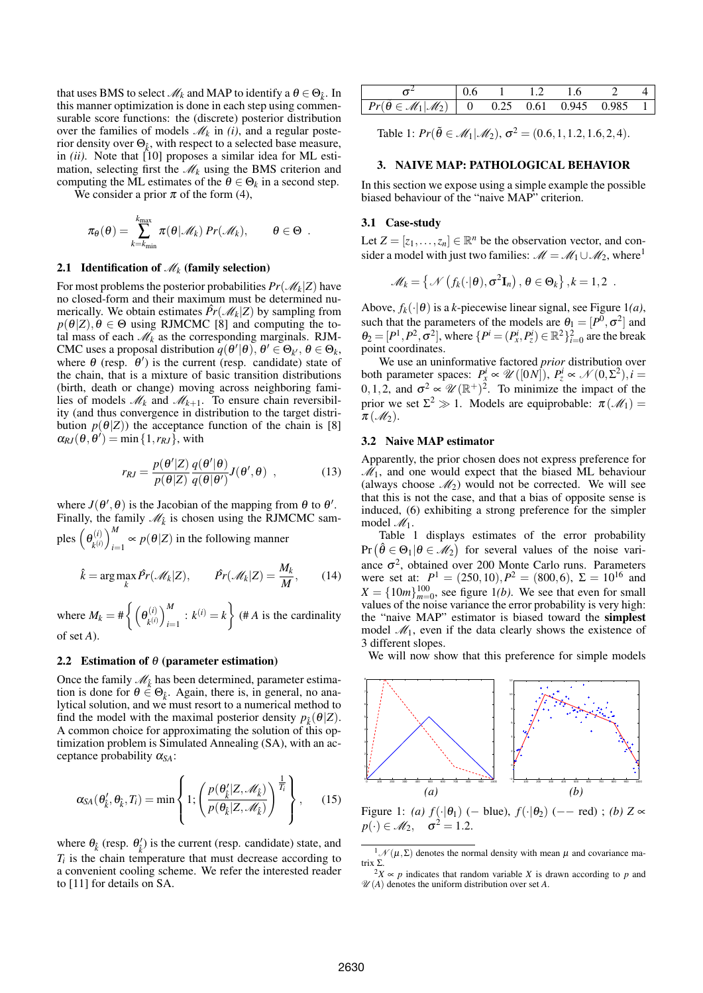that uses BMS to select  $\mathcal{M}_k$  and MAP to identify a  $\theta \in \Theta_{\hat{k}}$ . In this manner optimization is done in each step using commensurable score functions: the (discrete) posterior distribution over the families of models  $\mathcal{M}_k$  in *(i)*, and a regular posterior density over  $\Theta_{\hat{k}}$ , with respect to a selected base measure, in *(ii)*. Note that [10] proposes a similar idea for ML estimation, selecting first the  $\mathcal{M}_k$  using the BMS criterion and computing the ML estimates of the  $\theta \in \Theta_k$  in a second step.

We consider a prior  $\pi$  of the form (4),

$$
\pi_{\theta}(\theta) = \sum_{k=k_{\min}}^{k_{\max}} \pi(\theta|\mathscr{M}_k) \Pr(\mathscr{M}_k), \qquad \theta \in \Theta.
$$

## 2.1 Identification of  $\mathcal{M}_k$  (family selection)

For most problems the posterior probabilities  $Pr(\mathscr{M}_k|Z)$  have no closed-form and their maximum must be determined numerically. We obtain estimates  $\hat{Pr}(\mathcal{M}_k|Z)$  by sampling from  $p(\theta|Z), \theta \in \Theta$  using RJMCMC [8] and computing the total mass of each  $\mathcal{M}_k$  as the corresponding marginals. RJM-CMC uses a proposal distribution  $q(\theta'|\theta)$ ,  $\theta' \in \Theta_{k'}$ ,  $\theta \in \Theta_k$ , where  $\theta$  (resp.  $\theta'$ ) is the current (resp. candidate) state of the chain, that is a mixture of basic transition distributions (birth, death or change) moving across neighboring families of models  $\mathcal{M}_k$  and  $\mathcal{M}_{k+1}$ . To ensure chain reversibility (and thus convergence in distribution to the target distribution  $p(\theta|Z)$ ) the acceptance function of the chain is [8]  $\alpha_{RJ}(\theta, \theta') = \min\{1, r_{RJ}\},\$  with

$$
r_{RJ} = \frac{p(\theta'|Z)}{p(\theta|Z)} \frac{q(\theta'|\theta)}{q(\theta|\theta')} J(\theta', \theta) , \qquad (13)
$$

where  $J(\theta', \theta)$  is the Jacobian of the mapping from  $\theta$  to  $\theta'$ . Finally, the family  $\mathcal{M}_{\hat{k}}$  is chosen using the RJMCMC samples  $(\theta_{\mu(i)}^{(i)})$  ${k^{(i)} \choose k^{(i)}}$ <sup>*M*</sup><sub>i=</sub>  $p(\theta|Z)$  in the following manner

$$
\hat{k} = \arg \max_{k} \hat{Pr}(\mathscr{M}_k | Z), \qquad \hat{Pr}(\mathscr{M}_k | Z) = \frac{M_k}{M}, \qquad (14)
$$

where  $M_k = \# \left\{ \left( \theta_{\nu(i)}^{(i)} \right) \right\}$  ${k^{(i)} \choose k^{(i)}}_{i=1}^M$  $\binom{M}{i=1}$  :  $k^{(i)} = k$ (# *A* is the cardinality of set *A*).

#### 2.2 Estimation of  $\theta$  (parameter estimation)

Once the family  $\mathcal{M}_{\hat{k}}$  has been determined, parameter estimation is done for  $\theta \in \Theta_{\hat{k}}$ . Again, there is, in general, no analytical solution, and we must resort to a numerical method to find the model with the maximal posterior density  $p_{\hat{k}}(\theta|Z)$ . A common choice for approximating the solution of this optimization problem is Simulated Annealing (SA), with an acceptance probability <sup>α</sup>*SA*:

$$
\alpha_{SA}(\theta_{\hat{k}}', \theta_{\hat{k}}, T_i) = \min \left\{ 1; \left( \frac{p(\theta_{\hat{k}}'|Z, \mathcal{M}_{\hat{k}})}{p(\theta_{\hat{k}}|Z, \mathcal{M}_{\hat{k}})} \right)^{\frac{1}{T_i}} \right\},\qquad(15)
$$

where  $\theta_{\hat{k}}$  (resp.  $\theta'_{\hat{k}}$ ) is the current (resp. candidate) state, and  $T_i$  is the chain temperature that must decrease according to a convenient cooling scheme. We refer the interested reader to [11] for details on SA.

|                                                                                | $\sqrt{1}$ 12 | 1.6 |  |
|--------------------------------------------------------------------------------|---------------|-----|--|
| $Pr(\hat{\theta} \in \mathcal{M}_1   \mathcal{M}_2)$   0 0.25 0.61 0.945 0.985 |               |     |  |

Table 1:  $Pr(\tilde{\theta} \in M_1 | M_2), \sigma^2 = (0.6, 1, 1.2, 1.6, 2, 4).$ 

#### 3. NAIVE MAP: PATHOLOGICAL BEHAVIOR

In this section we expose using a simple example the possible biased behaviour of the "naive MAP" criterion.

# 3.1 Case-study

Let  $Z = [z_1, \ldots, z_n] \in \mathbb{R}^n$  be the observation vector, and consider a model with just two families:  $\mathcal{M} = \mathcal{M}_1 \cup \mathcal{M}_2$ , where<sup>1</sup>

$$
\mathscr{M}_k = \left\{ \mathscr{N}\left(f_k(\cdot | \theta), \sigma^2 \mathbf{I}_n\right), \theta \in \Theta_k \right\}, k = 1, 2 \; .
$$

Above,  $f_k(\cdot|\theta)$  is a *k*-piecewise linear signal, see Figure 1(*a*), such that the parameters of the models are  $\theta_1 = [P^0, \sigma^2]$  and  $\theta_2 = [P^1, P^2, \sigma^2]$ , where  $\{P^i = (P^i_x, P^i_z) \in \mathbb{R}^2\}_{i=0}^2$  are the break point coordinates.

We use an uninformative factored *prior* distribution over both parameter spaces:  $P_x^i \propto \mathcal{U}([0N])$ ,  $P_z^i \propto \mathcal{N}(0,\Sigma^2)$ ,  $i =$ 0,1,2, and  $\sigma^2 \propto \mathcal{U}(\mathbb{R}^+)^2$ . To minimize the impact of the prior we set  $\Sigma^2 \gg 1$ . Models are equiprobable:  $\pi(\mathcal{M}_1) =$  $\pi(\mathcal{M}_2)$ .

#### 3.2 Naive MAP estimator

Apparently, the prior chosen does not express preference for  $M_1$ , and one would expect that the biased ML behaviour (always choose  $\mathcal{M}_2$ ) would not be corrected. We will see that this is not the case, and that a bias of opposite sense is induced, (6) exhibiting a strong preference for the simpler model *M*1.

Table 1 displays estimates of the error probability  $Pr(\hat{\theta} \in \Theta_1 | \theta \in \mathcal{M}_2)$  for several values of the noise variance  $\sigma^2$ , obtained over 200 Monte Carlo runs. Parameters were set at:  $P^1 = (250, 10), P^2 = (800, 6), \ \Sigma = 10^{16}$  and  $X = \{10m\}_{m=0}^{100}$ , see figure 1*(b)*. We see that even for small values of the noise variance the error probability is very high: the "naive MAP" estimator is biased toward the simplest model  $\mathcal{M}_1$ , even if the data clearly shows the existence of 3 different slopes.

We will now show that this preference for simple models



Figure 1: *(a)*  $f(\cdot|\theta_1)$  (− blue),  $f(\cdot|\theta_2)$  (−− red) ; *(b)* Z ∝  $p(\cdot) \in M_2$ ,  $\sigma^2 = 1.2$ .

<sup>&</sup>lt;sup>1</sup> $M(μ,Σ)$  denotes the normal density with mean  $μ$  and covariance matrix Σ.

 $2X \propto p$  indicates that random variable *X* is drawn according to *p* and  $\mathcal{U}(A)$  denotes the uniform distribution over set *A*.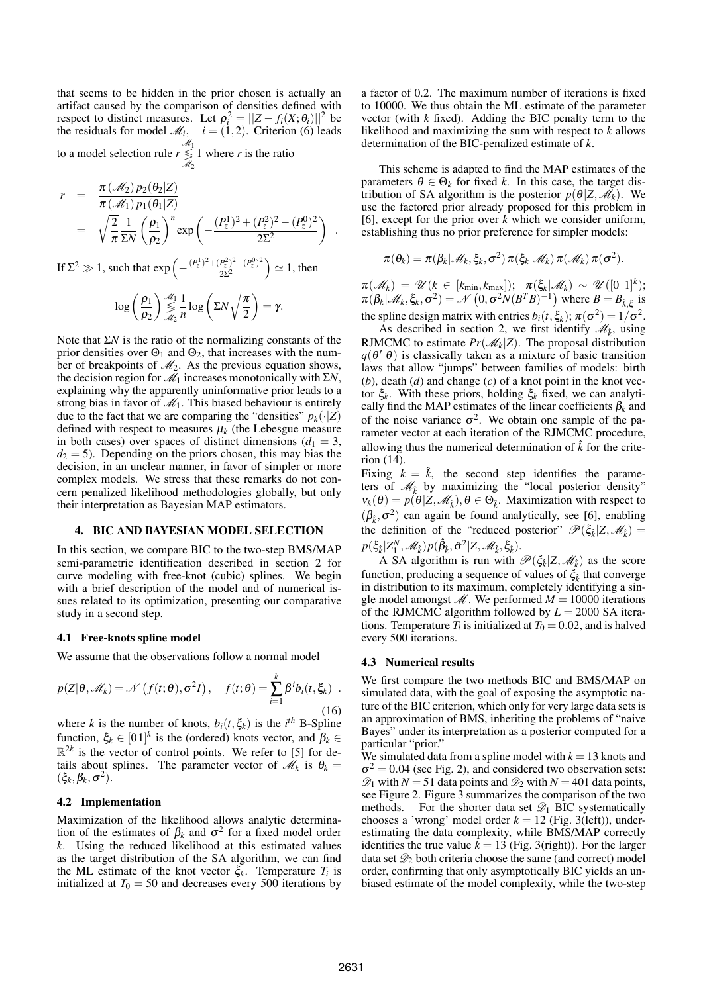that seems to be hidden in the prior chosen is actually an artifact caused by the comparison of densities defined with respect to distinct measures. Let  $\rho_i^2 = ||Z - f_i(X; \theta_i)||^2$  be the residuals for model  $\mathcal{M}_i$ ,  $i = (1, 2)$ . Criterion (6) leads to a model selection rule *r M*1 ≶ *M*2 1 where *r* is the ratio

$$
r = \frac{\pi(\mathcal{M}_2) p_2(\theta_2|Z)}{\pi(\mathcal{M}_1) p_1(\theta_1|Z)}
$$
  
=  $\sqrt{\frac{2}{\pi}} \frac{1}{\Sigma N} \left(\frac{\rho_1}{\rho_2}\right)^n \exp\left(-\frac{(P_z^1)^2 + (P_z^2)^2 - (P_z^0)^2}{2\Sigma^2}\right)$ .

If  $\Sigma^2 \gg 1$ , such that  $\exp\left(-\frac{(P_z^1)^2 + (P_z^2)^2 - (P_z^0)^2}{2\Sigma^2}\right)$  $2\Sigma^2$  $\rangle \simeq 1$ , then

$$
\log\left(\frac{\rho_1}{\rho_2}\right) \mathop{\lesssim}\limits_{\mathscr{M}_2}^{\mathscr{M}_1} \frac{1}{n} \log\left(\Sigma N \sqrt{\frac{\pi}{2}}\right) = \gamma.
$$

Note that Σ*N* is the ratio of the normalizing constants of the prior densities over  $\Theta_1$  and  $\Theta_2$ , that increases with the number of breakpoints of *M*2. As the previous equation shows, the decision region for *M*<sup>1</sup> increases monotonically with Σ*N*, explaining why the apparently uninformative prior leads to a strong bias in favor of  $\mathcal{M}_1$ . This biased behaviour is entirely due to the fact that we are comparing the "densities"  $p_k(\cdot|Z)$ defined with respect to measures  $\mu_k$  (the Lebesgue measure in both cases) over spaces of distinct dimensions  $(d_1 = 3,$  $d_2 = 5$ ). Depending on the priors chosen, this may bias the decision, in an unclear manner, in favor of simpler or more complex models. We stress that these remarks do not concern penalized likelihood methodologies globally, but only their interpretation as Bayesian MAP estimators.

#### 4. BIC AND BAYESIAN MODEL SELECTION

In this section, we compare BIC to the two-step BMS/MAP semi-parametric identification described in section 2 for curve modeling with free-knot (cubic) splines. We begin with a brief description of the model and of numerical issues related to its optimization, presenting our comparative study in a second step.

## 4.1 Free-knots spline model

We assume that the observations follow a normal model

$$
p(Z|\theta, \mathscr{M}_k) = \mathscr{N}\left(f(t;\theta), \sigma^2 I\right), \quad f(t;\theta) = \sum_{i=1}^k \beta^i b_i(t, \xi_k) \quad .
$$
\n(16)

where *k* is the number of knots,  $b_i(t, \xi_k)$  is the *i*<sup>th</sup> B-Spline function,  $\xi_k \in [01]^k$  is the (ordered) knots vector, and  $\beta_k \in$  $\mathbb{R}^{2k}$  is the vector of control points. We refer to [5] for details about splines. The parameter vector of  $\mathcal{M}_k$  is  $\theta_k =$  $(\xi_k, \beta_k, \sigma^2)$ .

#### 4.2 Implementation

Maximization of the likelihood allows analytic determination of the estimates of  $\beta_k$  and  $\sigma^2$  for a fixed model order *k*. Using the reduced likelihood at this estimated values as the target distribution of the SA algorithm, we can find the ML estimate of the knot vector  $\xi_k$ . Temperature  $T_i$  is initialized at  $T_0 = 50$  and decreases every 500 iterations by

a factor of 0.2. The maximum number of iterations is fixed to 10000. We thus obtain the ML estimate of the parameter vector (with *k* fixed). Adding the BIC penalty term to the likelihood and maximizing the sum with respect to *k* allows determination of the BIC-penalized estimate of *k*.

This scheme is adapted to find the MAP estimates of the parameters  $\theta \in \Theta_k$  for fixed *k*. In this case, the target distribution of SA algorithm is the posterior  $p(\theta|Z, \mathcal{M}_k)$ . We use the factored prior already proposed for this problem in [6], except for the prior over *k* which we consider uniform, establishing thus no prior preference for simpler models:

$$
\pi(\theta_k) = \pi(\beta_k | \mathcal{M}_k, \xi_k, \sigma^2) \pi(\xi_k | \mathcal{M}_k) \pi(\mathcal{M}_k) \pi(\sigma^2).
$$

 $\pi(\mathscr{M}_k) = \mathscr{U}(k \in [k_{\min}, k_{\max}])$ ;  $\pi(\xi_k | \mathscr{M}_k) \sim \mathscr{U}([0 \; 1]^k)$ ;  $\pi(\beta_k | \mathcal{M}_k, \xi_k, \sigma^2) = \mathcal{N}(0, \sigma^2 N(B^T B)^{-1})$  where  $B = B_{\hat{k}, \xi}$  is the spline design matrix with entries  $b_i(t, \xi_k)$ ;  $\pi(\sigma^2) = 1/\sigma^2$ .

As described in section 2, we first identify  $\mathcal{M}_{\hat{k}}$ , using RJMCMC to estimate  $Pr(\mathcal{M}_k|Z)$ . The proposal distribution  $q(\theta'|\theta)$  is classically taken as a mixture of basic transition laws that allow "jumps" between families of models: birth (*b*), death (*d*) and change (*c*) of a knot point in the knot vector ξ*<sup>k</sup>* . With these priors, holding ξ*<sup>k</sup>* fixed, we can analytically find the MAP estimates of the linear coefficients  $\beta_k$  and of the noise variance  $\sigma^2$ . We obtain one sample of the parameter vector at each iteration of the RJMCMC procedure, allowing thus the numerical determination of  $\hat{k}$  for the criterion (14).

Fixing  $k = \hat{k}$ , the second step identifies the parameters of  $\mathcal{M}_{\hat{k}}$  by maximizing the "local posterior density"  $v_k(\theta) = p(\theta|Z, \mathcal{M}_k)$ ,  $\theta \in \Theta_k$ . Maximization with respect to  $(\beta_k, \sigma^2)$  can again be found analytically, see [6], enabling the definition of the "reduced posterior"  $\mathcal{P}(\xi_k|Z,\mathcal{M}_k)$  =  $p(\xi_{\hat{k}} | Z_1^N, \mathscr{M}_{\hat{k}}) p(\hat{\beta}_{\hat{k}}, \hat{\sigma}^2 | Z, \mathscr{M}_{\hat{k}}, \xi_{\hat{k}}).$ 

A SA algorithm is run with  $\mathscr{P}(\xi_{\hat{k}}|Z, \mathscr{M}_{\hat{k}})$  as the score function, producing a sequence of values of  $\xi_{\hat{k}}$  that converge in distribution to its maximum, completely identifying a single model amongst  $M$ . We performed  $M = 10000$  iterations of the RJMCMC algorithm followed by  $L = 2000$  SA iterations. Temperature  $T_i$  is initialized at  $T_0 = 0.02$ , and is halved every 500 iterations.

#### 4.3 Numerical results

We first compare the two methods BIC and BMS/MAP on simulated data, with the goal of exposing the asymptotic nature of the BIC criterion, which only for very large data sets is an approximation of BMS, inheriting the problems of "naive Bayes" under its interpretation as a posterior computed for a particular "prior."

We simulated data from a spline model with  $k = 13$  knots and  $\sigma^2$  = 0.04 (see Fig. 2), and considered two observation sets:  $\mathcal{D}_1$  with *N* = 51 data points and  $\mathcal{D}_2$  with *N* = 401 data points, see Figure 2. Figure 3 summarizes the comparison of the two methods. For the shorter data set  $\mathscr{D}_1$  BIC systematically chooses a 'wrong' model order  $k = 12$  (Fig. 3(left)), underestimating the data complexity, while BMS/MAP correctly identifies the true value  $k = 13$  (Fig. 3(right)). For the larger data set *D*<sup>2</sup> both criteria choose the same (and correct) model order, confirming that only asymptotically BIC yields an unbiased estimate of the model complexity, while the two-step